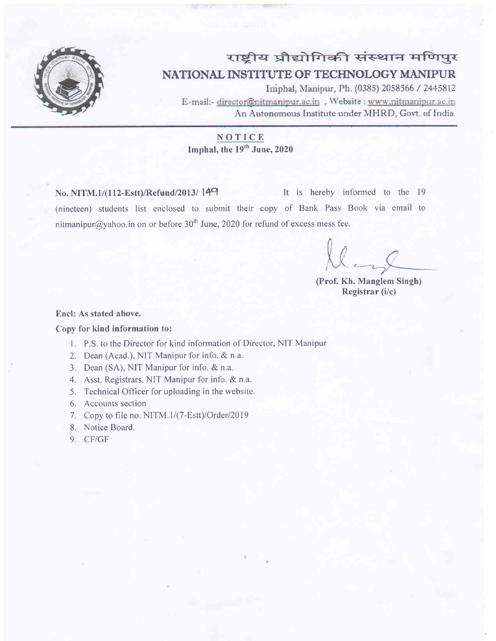

# राष्ट्रीय प्रौद्योगिकी संस्थान मणिपुर NATIONAL INSTITUTE OF TECHNOLOGY MANIPUR

Imphal, Manipur, Ph. (0385) 2058566 / 2445812 E-mail:- director@nitmanipur.ac.in, Website : www.nitmanipur.ac.in An Autonomous Institute under MHRD, Govt. of India.

### NOTICE

Imphal, the 19<sup>th</sup> June, 2020

No. NITM.1/(112-Estt)/Refund/2013/ 149 (nineteen) students list enclosed to submit their copy of Bank Pass Book via email to nitmanipur@yahoo.in on or before 30<sup>th</sup> June, 2020 for refund of excess mess fee. It is hereby informed to the 19

(Prof. Kh. Manglem Singh) Registrar (i/c)

#### Encl: As stated above.

#### Copy for kind information to:

- l. P.S. to the Director for kind information of Director, NIT Manipur
- 2. Dean (Acad.), NIT Manipur for info. & n.a.
- 3. Dean (SA), NIT Manipur for info. & n.a.
- 4. Asst. Registrars, NIT Manipur for info. & n.a.
- 5. Technical Officer for uploading in the website.
- 6. Accounts section
- 7. Copy to file no. NITM.1/(7-Estt)/Order/2019
- 8. Notice Board.
- 9, CF/GF